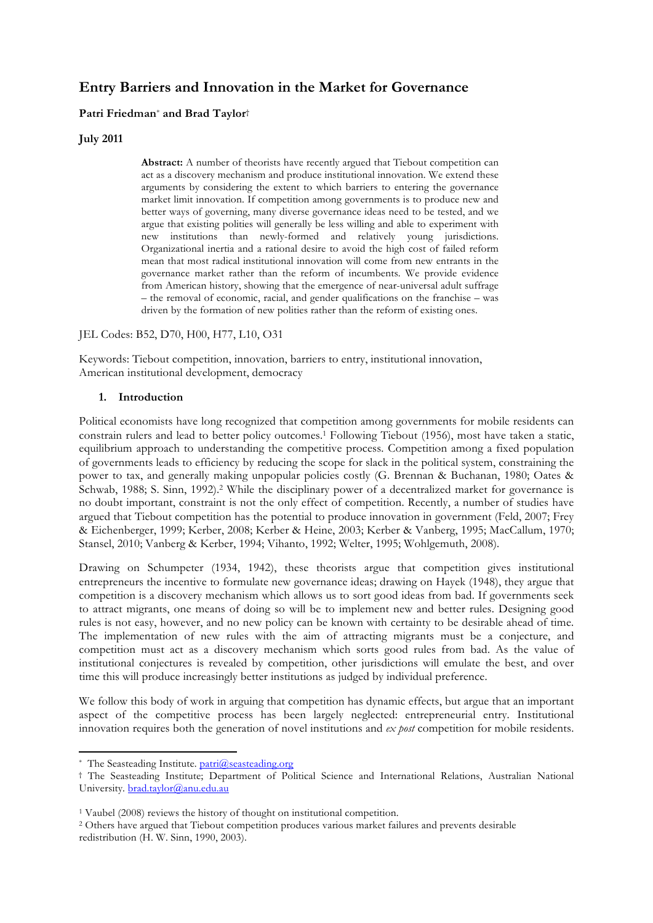# **Entry Barriers and Innovation in the Market for Governance**

# **Patri Friedman**\* **and Brad Taylor**†

### **July 2011**

**Abstract:** A number of theorists have recently argued that Tiebout competition can act as a discovery mechanism and produce institutional innovation. We extend these arguments by considering the extent to which barriers to entering the governance market limit innovation. If competition among governments is to produce new and better ways of governing, many diverse governance ideas need to be tested, and we argue that existing polities will generally be less willing and able to experiment with new institutions than newly-formed and relatively young jurisdictions. Organizational inertia and a rational desire to avoid the high cost of failed reform mean that most radical institutional innovation will come from new entrants in the governance market rather than the reform of incumbents. We provide evidence from American history, showing that the emergence of near-universal adult suffrage – the removal of economic, racial, and gender qualifications on the franchise – was driven by the formation of new polities rather than the reform of existing ones.

JEL Codes: B52, D70, H00, H77, L10, O31

Keywords: Tiebout competition, innovation, barriers to entry, institutional innovation, American institutional development, democracy

#### **1. Introduction**

Political economists have long recognized that competition among governments for mobile residents can constrain rulers and lead to better policy outcomes.1 Following Tiebout (1956), most have taken a static, equilibrium approach to understanding the competitive process. Competition among a fixed population of governments leads to efficiency by reducing the scope for slack in the political system, constraining the power to tax, and generally making unpopular policies costly (G. Brennan & Buchanan, 1980; Oates & Schwab, 1988; S. Sinn, 1992).<sup>2</sup> While the disciplinary power of a decentralized market for governance is no doubt important, constraint is not the only effect of competition. Recently, a number of studies have argued that Tiebout competition has the potential to produce innovation in government (Feld, 2007; Frey & Eichenberger, 1999; Kerber, 2008; Kerber & Heine, 2003; Kerber & Vanberg, 1995; MacCallum, 1970; Stansel, 2010; Vanberg & Kerber, 1994; Vihanto, 1992; Welter, 1995; Wohlgemuth, 2008).

Drawing on Schumpeter (1934, 1942), these theorists argue that competition gives institutional entrepreneurs the incentive to formulate new governance ideas; drawing on Hayek (1948), they argue that competition is a discovery mechanism which allows us to sort good ideas from bad. If governments seek to attract migrants, one means of doing so will be to implement new and better rules. Designing good rules is not easy, however, and no new policy can be known with certainty to be desirable ahead of time. The implementation of new rules with the aim of attracting migrants must be a conjecture, and competition must act as a discovery mechanism which sorts good rules from bad. As the value of institutional conjectures is revealed by competition, other jurisdictions will emulate the best, and over time this will produce increasingly better institutions as judged by individual preference.

We follow this body of work in arguing that competition has dynamic effects, but argue that an important aspect of the competitive process has been largely neglected: entrepreneurial entry. Institutional innovation requires both the generation of novel institutions and *ex post* competition for mobile residents.

<sup>\*</sup> The Seasteading Institute. patri@seasteading.org

<sup>†</sup> The Seasteading Institute; Department of Political Science and International Relations, Australian National University. brad.taylor@anu.edu.au

<sup>1</sup> Vaubel (2008) reviews the history of thought on institutional competition. 2 Others have argued that Tiebout competition produces various market failures and prevents desirable redistribution (H. W. Sinn, 1990, 2003).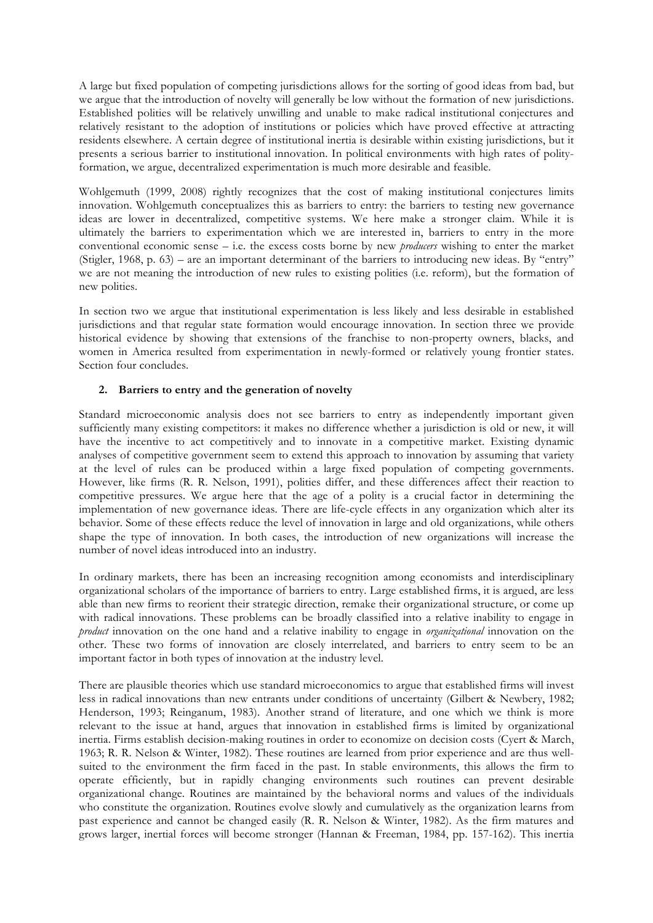A large but fixed population of competing jurisdictions allows for the sorting of good ideas from bad, but we argue that the introduction of novelty will generally be low without the formation of new jurisdictions. Established polities will be relatively unwilling and unable to make radical institutional conjectures and relatively resistant to the adoption of institutions or policies which have proved effective at attracting residents elsewhere. A certain degree of institutional inertia is desirable within existing jurisdictions, but it presents a serious barrier to institutional innovation. In political environments with high rates of polityformation, we argue, decentralized experimentation is much more desirable and feasible.

Wohlgemuth (1999, 2008) rightly recognizes that the cost of making institutional conjectures limits innovation. Wohlgemuth conceptualizes this as barriers to entry: the barriers to testing new governance ideas are lower in decentralized, competitive systems. We here make a stronger claim. While it is ultimately the barriers to experimentation which we are interested in, barriers to entry in the more conventional economic sense – i.e. the excess costs borne by new *producers* wishing to enter the market (Stigler, 1968, p. 63) – are an important determinant of the barriers to introducing new ideas. By "entry" we are not meaning the introduction of new rules to existing polities (i.e. reform), but the formation of new polities.

In section two we argue that institutional experimentation is less likely and less desirable in established jurisdictions and that regular state formation would encourage innovation. In section three we provide historical evidence by showing that extensions of the franchise to non-property owners, blacks, and women in America resulted from experimentation in newly-formed or relatively young frontier states. Section four concludes.

# **2. Barriers to entry and the generation of novelty**

Standard microeconomic analysis does not see barriers to entry as independently important given sufficiently many existing competitors: it makes no difference whether a jurisdiction is old or new, it will have the incentive to act competitively and to innovate in a competitive market. Existing dynamic analyses of competitive government seem to extend this approach to innovation by assuming that variety at the level of rules can be produced within a large fixed population of competing governments. However, like firms (R. R. Nelson, 1991), polities differ, and these differences affect their reaction to competitive pressures. We argue here that the age of a polity is a crucial factor in determining the implementation of new governance ideas. There are life-cycle effects in any organization which alter its behavior. Some of these effects reduce the level of innovation in large and old organizations, while others shape the type of innovation. In both cases, the introduction of new organizations will increase the number of novel ideas introduced into an industry.

In ordinary markets, there has been an increasing recognition among economists and interdisciplinary organizational scholars of the importance of barriers to entry. Large established firms, it is argued, are less able than new firms to reorient their strategic direction, remake their organizational structure, or come up with radical innovations. These problems can be broadly classified into a relative inability to engage in *product* innovation on the one hand and a relative inability to engage in *organizational* innovation on the other. These two forms of innovation are closely interrelated, and barriers to entry seem to be an important factor in both types of innovation at the industry level.

There are plausible theories which use standard microeconomics to argue that established firms will invest less in radical innovations than new entrants under conditions of uncertainty (Gilbert & Newbery, 1982; Henderson, 1993; Reinganum, 1983). Another strand of literature, and one which we think is more relevant to the issue at hand, argues that innovation in established firms is limited by organizational inertia. Firms establish decision-making routines in order to economize on decision costs (Cyert & March, 1963; R. R. Nelson & Winter, 1982). These routines are learned from prior experience and are thus wellsuited to the environment the firm faced in the past. In stable environments, this allows the firm to operate efficiently, but in rapidly changing environments such routines can prevent desirable organizational change. Routines are maintained by the behavioral norms and values of the individuals who constitute the organization. Routines evolve slowly and cumulatively as the organization learns from past experience and cannot be changed easily (R. R. Nelson & Winter, 1982). As the firm matures and grows larger, inertial forces will become stronger (Hannan & Freeman, 1984, pp. 157-162). This inertia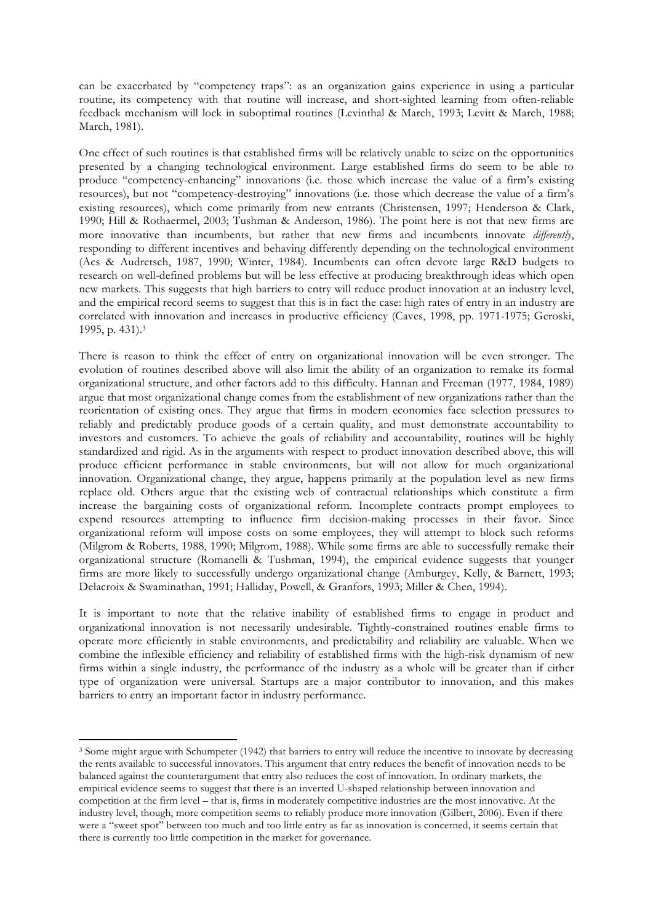can be exacerbated by "competency traps": as an organization gains experience in using a particular routine, its competency with that routine will increase, and short-sighted learning from often-reliable feedback mechanism will lock in suboptimal routines (Levinthal & March, 1993; Levitt & March, 1988; March, 1981).

One effect of such routines is that established firms will be relatively unable to seize on the opportunities presented by a changing technological environment. Large established firms do seem to be able to produce "competency-enhancing" innovations (i.e. those which increase the value of a firm's existing resources), but not "competency-destroying" innovations (i.e. those which decrease the value of a firm's existing resources), which come primarily from new entrants (Christensen, 1997; Henderson & Clark, 1990; Hill & Rothaermel, 2003; Tushman & Anderson, 1986). The point here is not that new firms are more innovative than incumbents, but rather that new firms and incumbents innovate *differently*, responding to different incentives and behaving differently depending on the technological environment (Acs & Audretsch, 1987, 1990; Winter, 1984). Incumbents can often devote large R&D budgets to research on well-defined problems but will be less effective at producing breakthrough ideas which open new markets. This suggests that high barriers to entry will reduce product innovation at an industry level, and the empirical record seems to suggest that this is in fact the case: high rates of entry in an industry are correlated with innovation and increases in productive efficiency (Caves, 1998, pp. 1971-1975; Geroski, 1995, p. 431). 3

There is reason to think the effect of entry on organizational innovation will be even stronger. The evolution of routines described above will also limit the ability of an organization to remake its formal organizational structure, and other factors add to this difficulty. Hannan and Freeman (1977, 1984, 1989) argue that most organizational change comes from the establishment of new organizations rather than the reorientation of existing ones. They argue that firms in modern economies face selection pressures to reliably and predictably produce goods of a certain quality, and must demonstrate accountability to investors and customers. To achieve the goals of reliability and accountability, routines will be highly standardized and rigid. As in the arguments with respect to product innovation described above, this will produce efficient performance in stable environments, but will not allow for much organizational innovation. Organizational change, they argue, happens primarily at the population level as new firms replace old. Others argue that the existing web of contractual relationships which constitute a firm increase the bargaining costs of organizational reform. Incomplete contracts prompt employees to expend resources attempting to influence firm decision-making processes in their favor. Since organizational reform will impose costs on some employees, they will attempt to block such reforms (Milgrom & Roberts, 1988, 1990; Milgrom, 1988). While some firms are able to successfully remake their organizational structure (Romanelli & Tushman, 1994), the empirical evidence suggests that younger firms are more likely to successfully undergo organizational change (Amburgey, Kelly, & Barnett, 1993; Delacroix & Swaminathan, 1991; Halliday, Powell, & Granfors, 1993; Miller & Chen, 1994).

It is important to note that the relative inability of established firms to engage in product and organizational innovation is not necessarily undesirable. Tightly-constrained routines enable firms to operate more efficiently in stable environments, and predictability and reliability are valuable. When we combine the inflexible efficiency and reliability of established firms with the high-risk dynamism of new firms within a single industry, the performance of the industry as a whole will be greater than if either type of organization were universal. Startups are a major contributor to innovation, and this makes barriers to entry an important factor in industry performance.

<sup>3</sup> Some might argue with Schumpeter (1942) that barriers to entry will reduce the incentive to innovate by decreasing the rents available to successful innovators. This argument that entry reduces the benefit of innovation needs to be balanced against the counterargument that entry also reduces the cost of innovation. In ordinary markets, the empirical evidence seems to suggest that there is an inverted U-shaped relationship between innovation and competition at the firm level – that is, firms in moderately competitive industries are the most innovative. At the industry level, though, more competition seems to reliably produce more innovation (Gilbert, 2006). Even if there were a "sweet spot" between too much and too little entry as far as innovation is concerned, it seems certain that there is currently too little competition in the market for governance.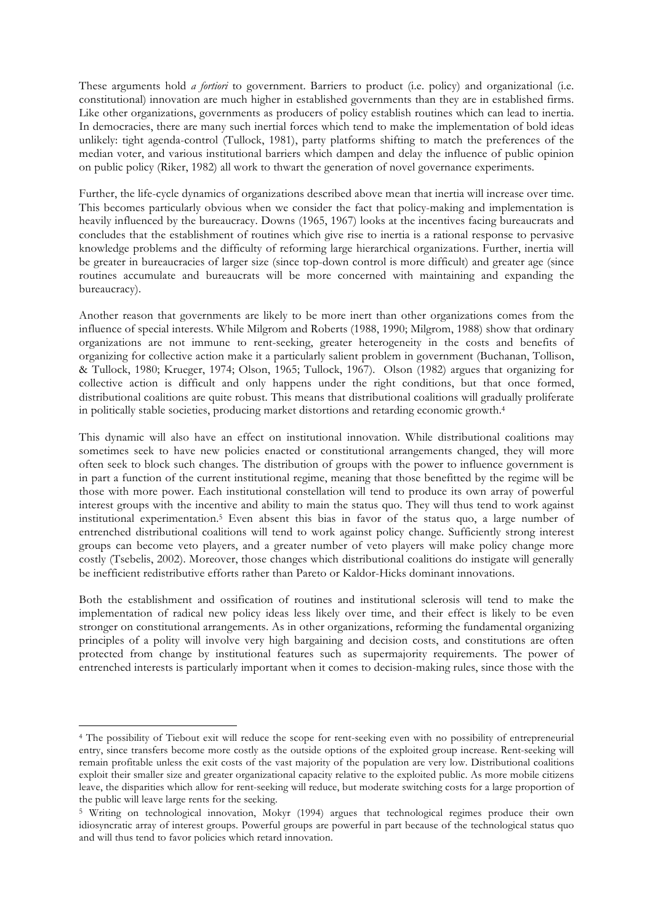These arguments hold *a fortiori* to government. Barriers to product (i.e. policy) and organizational (i.e. constitutional) innovation are much higher in established governments than they are in established firms. Like other organizations, governments as producers of policy establish routines which can lead to inertia. In democracies, there are many such inertial forces which tend to make the implementation of bold ideas unlikely: tight agenda-control (Tullock, 1981), party platforms shifting to match the preferences of the median voter, and various institutional barriers which dampen and delay the influence of public opinion on public policy (Riker, 1982) all work to thwart the generation of novel governance experiments.

Further, the life-cycle dynamics of organizations described above mean that inertia will increase over time. This becomes particularly obvious when we consider the fact that policy-making and implementation is heavily influenced by the bureaucracy. Downs (1965, 1967) looks at the incentives facing bureaucrats and concludes that the establishment of routines which give rise to inertia is a rational response to pervasive knowledge problems and the difficulty of reforming large hierarchical organizations. Further, inertia will be greater in bureaucracies of larger size (since top-down control is more difficult) and greater age (since routines accumulate and bureaucrats will be more concerned with maintaining and expanding the bureaucracy).

Another reason that governments are likely to be more inert than other organizations comes from the influence of special interests. While Milgrom and Roberts (1988, 1990; Milgrom, 1988) show that ordinary organizations are not immune to rent-seeking, greater heterogeneity in the costs and benefits of organizing for collective action make it a particularly salient problem in government (Buchanan, Tollison, & Tullock, 1980; Krueger, 1974; Olson, 1965; Tullock, 1967). Olson (1982) argues that organizing for collective action is difficult and only happens under the right conditions, but that once formed, distributional coalitions are quite robust. This means that distributional coalitions will gradually proliferate in politically stable societies, producing market distortions and retarding economic growth.4

This dynamic will also have an effect on institutional innovation. While distributional coalitions may sometimes seek to have new policies enacted or constitutional arrangements changed, they will more often seek to block such changes. The distribution of groups with the power to influence government is in part a function of the current institutional regime, meaning that those benefitted by the regime will be those with more power. Each institutional constellation will tend to produce its own array of powerful interest groups with the incentive and ability to main the status quo. They will thus tend to work against institutional experimentation.5 Even absent this bias in favor of the status quo, a large number of entrenched distributional coalitions will tend to work against policy change. Sufficiently strong interest groups can become veto players, and a greater number of veto players will make policy change more costly (Tsebelis, 2002). Moreover, those changes which distributional coalitions do instigate will generally be inefficient redistributive efforts rather than Pareto or Kaldor-Hicks dominant innovations.

Both the establishment and ossification of routines and institutional sclerosis will tend to make the implementation of radical new policy ideas less likely over time, and their effect is likely to be even stronger on constitutional arrangements. As in other organizations, reforming the fundamental organizing principles of a polity will involve very high bargaining and decision costs, and constitutions are often protected from change by institutional features such as supermajority requirements. The power of entrenched interests is particularly important when it comes to decision-making rules, since those with the

<sup>4</sup> The possibility of Tiebout exit will reduce the scope for rent-seeking even with no possibility of entrepreneurial entry, since transfers become more costly as the outside options of the exploited group increase. Rent-seeking will remain profitable unless the exit costs of the vast majority of the population are very low. Distributional coalitions exploit their smaller size and greater organizational capacity relative to the exploited public. As more mobile citizens leave, the disparities which allow for rent-seeking will reduce, but moderate switching costs for a large proportion of the public will leave large rents for the seeking.

<sup>5</sup> Writing on technological innovation, Mokyr (1994) argues that technological regimes produce their own idiosyncratic array of interest groups. Powerful groups are powerful in part because of the technological status quo and will thus tend to favor policies which retard innovation.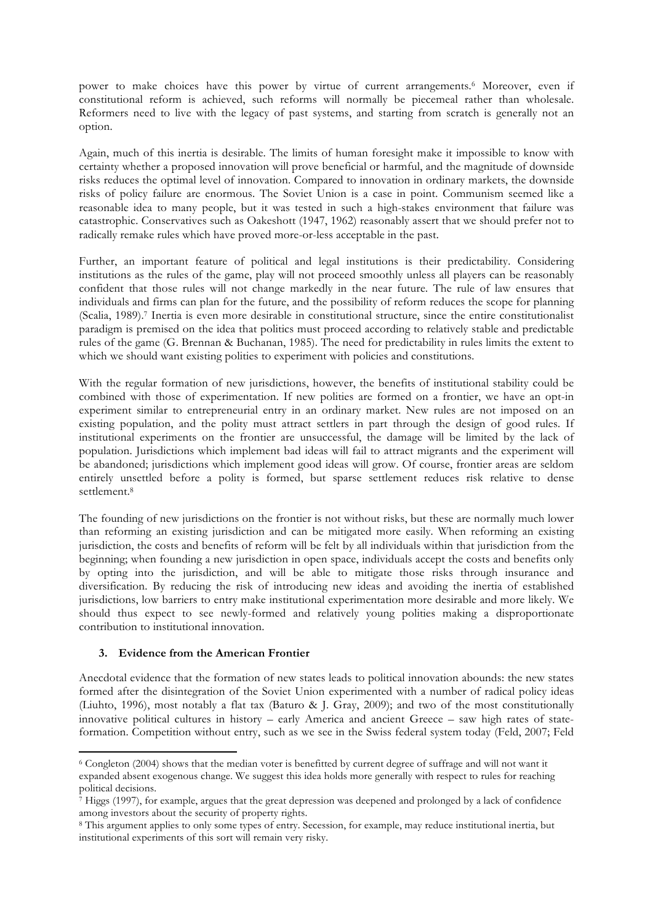power to make choices have this power by virtue of current arrangements.6 Moreover, even if constitutional reform is achieved, such reforms will normally be piecemeal rather than wholesale. Reformers need to live with the legacy of past systems, and starting from scratch is generally not an option.

Again, much of this inertia is desirable. The limits of human foresight make it impossible to know with certainty whether a proposed innovation will prove beneficial or harmful, and the magnitude of downside risks reduces the optimal level of innovation. Compared to innovation in ordinary markets, the downside risks of policy failure are enormous. The Soviet Union is a case in point. Communism seemed like a reasonable idea to many people, but it was tested in such a high-stakes environment that failure was catastrophic. Conservatives such as Oakeshott (1947, 1962) reasonably assert that we should prefer not to radically remake rules which have proved more-or-less acceptable in the past.

Further, an important feature of political and legal institutions is their predictability. Considering institutions as the rules of the game, play will not proceed smoothly unless all players can be reasonably confident that those rules will not change markedly in the near future. The rule of law ensures that individuals and firms can plan for the future, and the possibility of reform reduces the scope for planning (Scalia, 1989). 7 Inertia is even more desirable in constitutional structure, since the entire constitutionalist paradigm is premised on the idea that politics must proceed according to relatively stable and predictable rules of the game (G. Brennan & Buchanan, 1985). The need for predictability in rules limits the extent to which we should want existing polities to experiment with policies and constitutions.

With the regular formation of new jurisdictions, however, the benefits of institutional stability could be combined with those of experimentation. If new polities are formed on a frontier, we have an opt-in experiment similar to entrepreneurial entry in an ordinary market. New rules are not imposed on an existing population, and the polity must attract settlers in part through the design of good rules. If institutional experiments on the frontier are unsuccessful, the damage will be limited by the lack of population. Jurisdictions which implement bad ideas will fail to attract migrants and the experiment will be abandoned; jurisdictions which implement good ideas will grow. Of course, frontier areas are seldom entirely unsettled before a polity is formed, but sparse settlement reduces risk relative to dense settlement.8

The founding of new jurisdictions on the frontier is not without risks, but these are normally much lower than reforming an existing jurisdiction and can be mitigated more easily. When reforming an existing jurisdiction, the costs and benefits of reform will be felt by all individuals within that jurisdiction from the beginning; when founding a new jurisdiction in open space, individuals accept the costs and benefits only by opting into the jurisdiction, and will be able to mitigate those risks through insurance and diversification. By reducing the risk of introducing new ideas and avoiding the inertia of established jurisdictions, low barriers to entry make institutional experimentation more desirable and more likely. We should thus expect to see newly-formed and relatively young polities making a disproportionate contribution to institutional innovation.

# **3. Evidence from the American Frontier**

!!!!!!!!!!!!!!!!!!!!!!!!!!!!!!!!!!!!!!!!!!!!!!!!!!!!!!!!!!!!

Anecdotal evidence that the formation of new states leads to political innovation abounds: the new states formed after the disintegration of the Soviet Union experimented with a number of radical policy ideas (Liuhto, 1996), most notably a flat tax (Baturo & J. Gray, 2009); and two of the most constitutionally innovative political cultures in history – early America and ancient Greece – saw high rates of stateformation. Competition without entry, such as we see in the Swiss federal system today (Feld, 2007; Feld

<sup>6</sup> Congleton (2004) shows that the median voter is benefitted by current degree of suffrage and will not want it expanded absent exogenous change. We suggest this idea holds more generally with respect to rules for reaching political decisions.

 $^7$  Higgs (1997), for example, argues that the great depression was deepened and prolonged by a lack of confidence among investors about the security of property rights.

<sup>8</sup> This argument applies to only some types of entry. Secession, for example, may reduce institutional inertia, but institutional experiments of this sort will remain very risky.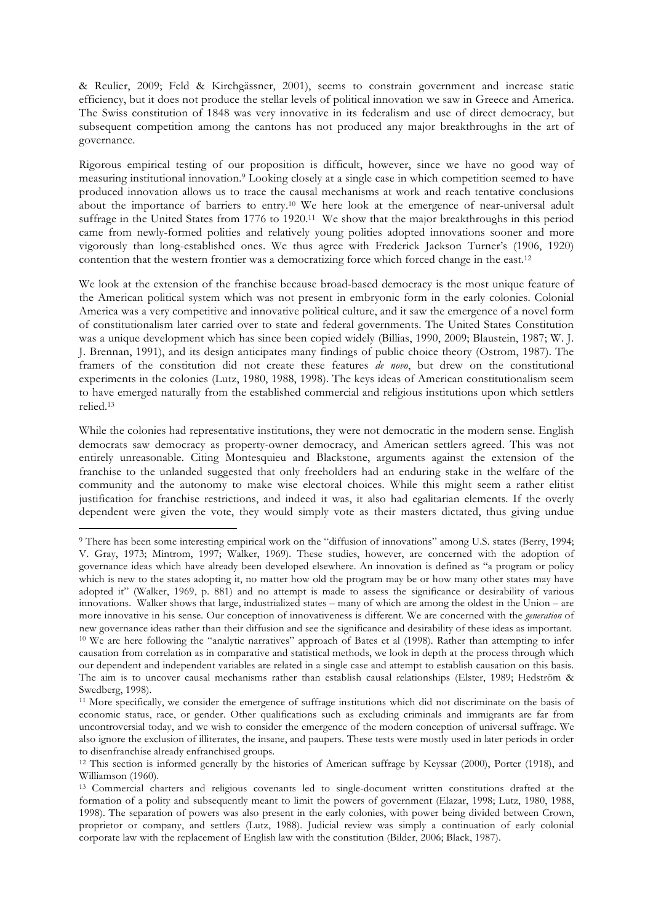& Reulier, 2009; Feld & Kirchgässner, 2001), seems to constrain government and increase static efficiency, but it does not produce the stellar levels of political innovation we saw in Greece and America. The Swiss constitution of 1848 was very innovative in its federalism and use of direct democracy, but subsequent competition among the cantons has not produced any major breakthroughs in the art of governance.

Rigorous empirical testing of our proposition is difficult, however, since we have no good way of measuring institutional innovation.9 Looking closely at a single case in which competition seemed to have produced innovation allows us to trace the causal mechanisms at work and reach tentative conclusions about the importance of barriers to entry.10 We here look at the emergence of near-universal adult suffrage in the United States from 1776 to 1920.11 We show that the major breakthroughs in this period came from newly-formed polities and relatively young polities adopted innovations sooner and more vigorously than long-established ones. We thus agree with Frederick Jackson Turner's (1906, 1920) contention that the western frontier was a democratizing force which forced change in the east.12

We look at the extension of the franchise because broad-based democracy is the most unique feature of the American political system which was not present in embryonic form in the early colonies. Colonial America was a very competitive and innovative political culture, and it saw the emergence of a novel form of constitutionalism later carried over to state and federal governments. The United States Constitution was a unique development which has since been copied widely (Billias, 1990, 2009; Blaustein, 1987; W. J. J. Brennan, 1991), and its design anticipates many findings of public choice theory (Ostrom, 1987). The framers of the constitution did not create these features *de novo*, but drew on the constitutional experiments in the colonies (Lutz, 1980, 1988, 1998). The keys ideas of American constitutionalism seem to have emerged naturally from the established commercial and religious institutions upon which settlers relied.13

While the colonies had representative institutions, they were not democratic in the modern sense. English democrats saw democracy as property-owner democracy, and American settlers agreed. This was not entirely unreasonable. Citing Montesquieu and Blackstone, arguments against the extension of the franchise to the unlanded suggested that only freeholders had an enduring stake in the welfare of the community and the autonomy to make wise electoral choices. While this might seem a rather elitist justification for franchise restrictions, and indeed it was, it also had egalitarian elements. If the overly dependent were given the vote, they would simply vote as their masters dictated, thus giving undue

<sup>9</sup> There has been some interesting empirical work on the "diffusion of innovations" among U.S. states (Berry, 1994; V. Gray, 1973; Mintrom, 1997; Walker, 1969). These studies, however, are concerned with the adoption of governance ideas which have already been developed elsewhere. An innovation is defined as "a program or policy which is new to the states adopting it, no matter how old the program may be or how many other states may have adopted it" (Walker, 1969, p. 881) and no attempt is made to assess the significance or desirability of various innovations. Walker shows that large, industrialized states – many of which are among the oldest in the Union – are more innovative in his sense. Our conception of innovativeness is different. We are concerned with the *generation* of new governance ideas rather than their diffusion and see the significance and desirability of these ideas as important. <sup>10</sup> We are here following the "analytic narratives" approach of Bates et al (1998). Rather than attempting to infer causation from correlation as in comparative and statistical methods, we look in depth at the process through which our dependent and independent variables are related in a single case and attempt to establish causation on this basis. The aim is to uncover causal mechanisms rather than establish causal relationships (Elster, 1989; Hedström & Swedberg, 1998).

<sup>11</sup> More specifically, we consider the emergence of suffrage institutions which did not discriminate on the basis of economic status, race, or gender. Other qualifications such as excluding criminals and immigrants are far from uncontroversial today, and we wish to consider the emergence of the modern conception of universal suffrage. We also ignore the exclusion of illiterates, the insane, and paupers. These tests were mostly used in later periods in order to disenfranchise already enfranchised groups.

<sup>12</sup> This section is informed generally by the histories of American suffrage by Keyssar (2000), Porter (1918), and Williamson (1960).<br><sup>13</sup> Commercial charters and religious covenants led to single-document written constitutions drafted at the

formation of a polity and subsequently meant to limit the powers of government (Elazar, 1998; Lutz, 1980, 1988, 1998). The separation of powers was also present in the early colonies, with power being divided between Crown, proprietor or company, and settlers (Lutz, 1988). Judicial review was simply a continuation of early colonial corporate law with the replacement of English law with the constitution (Bilder, 2006; Black, 1987).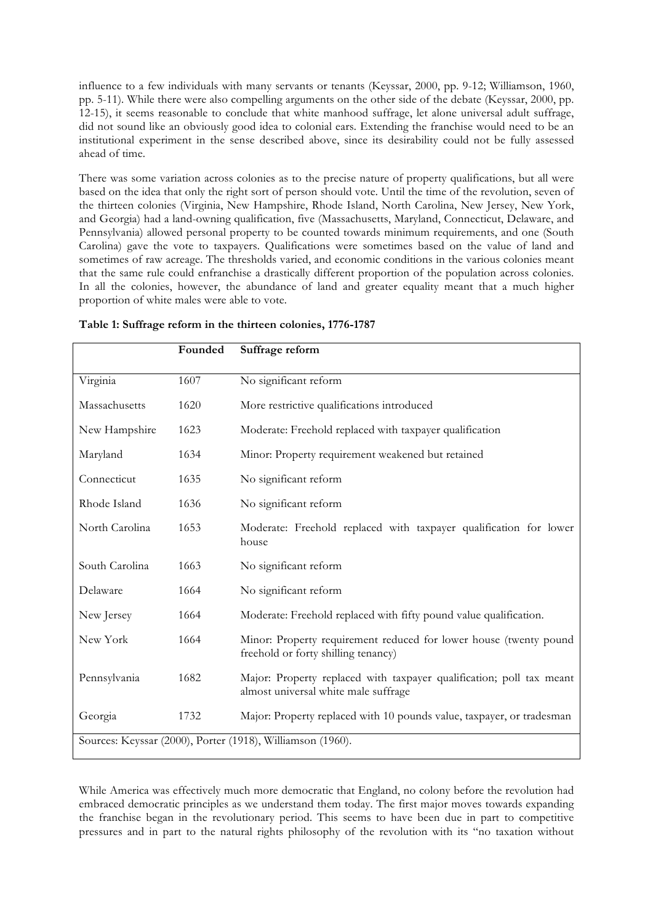influence to a few individuals with many servants or tenants (Keyssar, 2000, pp. 9-12; Williamson, 1960, pp. 5-11). While there were also compelling arguments on the other side of the debate (Keyssar, 2000, pp. 12-15), it seems reasonable to conclude that white manhood suffrage, let alone universal adult suffrage, did not sound like an obviously good idea to colonial ears. Extending the franchise would need to be an institutional experiment in the sense described above, since its desirability could not be fully assessed ahead of time.

There was some variation across colonies as to the precise nature of property qualifications, but all were based on the idea that only the right sort of person should vote. Until the time of the revolution, seven of the thirteen colonies (Virginia, New Hampshire, Rhode Island, North Carolina, New Jersey, New York, and Georgia) had a land-owning qualification, five (Massachusetts, Maryland, Connecticut, Delaware, and Pennsylvania) allowed personal property to be counted towards minimum requirements, and one (South Carolina) gave the vote to taxpayers. Qualifications were sometimes based on the value of land and sometimes of raw acreage. The thresholds varied, and economic conditions in the various colonies meant that the same rule could enfranchise a drastically different proportion of the population across colonies. In all the colonies, however, the abundance of land and greater equality meant that a much higher proportion of white males were able to vote.

|                | Founded | Suffrage reform                                                                                              |
|----------------|---------|--------------------------------------------------------------------------------------------------------------|
| Virginia       | 1607    | No significant reform                                                                                        |
| Massachusetts  | 1620    | More restrictive qualifications introduced                                                                   |
| New Hampshire  | 1623    | Moderate: Freehold replaced with taxpayer qualification                                                      |
| Maryland       | 1634    | Minor: Property requirement weakened but retained                                                            |
| Connecticut    | 1635    | No significant reform                                                                                        |
| Rhode Island   | 1636    | No significant reform                                                                                        |
| North Carolina | 1653    | Moderate: Freehold replaced with taxpayer qualification for lower<br>house                                   |
| South Carolina | 1663    | No significant reform                                                                                        |
| Delaware       | 1664    | No significant reform                                                                                        |
| New Jersey     | 1664    | Moderate: Freehold replaced with fifty pound value qualification.                                            |
| New York       | 1664    | Minor: Property requirement reduced for lower house (twenty pound<br>freehold or forty shilling tenancy)     |
| Pennsylvania   | 1682    | Major: Property replaced with taxpayer qualification; poll tax meant<br>almost universal white male suffrage |
| Georgia        | 1732    | Major: Property replaced with 10 pounds value, taxpayer, or tradesman                                        |
|                |         | Sources: Keyssar (2000), Porter (1918), Williamson (1960).                                                   |

#### **Table 1: Suffrage reform in the thirteen colonies, 1776-1787**

While America was effectively much more democratic that England, no colony before the revolution had embraced democratic principles as we understand them today. The first major moves towards expanding the franchise began in the revolutionary period. This seems to have been due in part to competitive pressures and in part to the natural rights philosophy of the revolution with its "no taxation without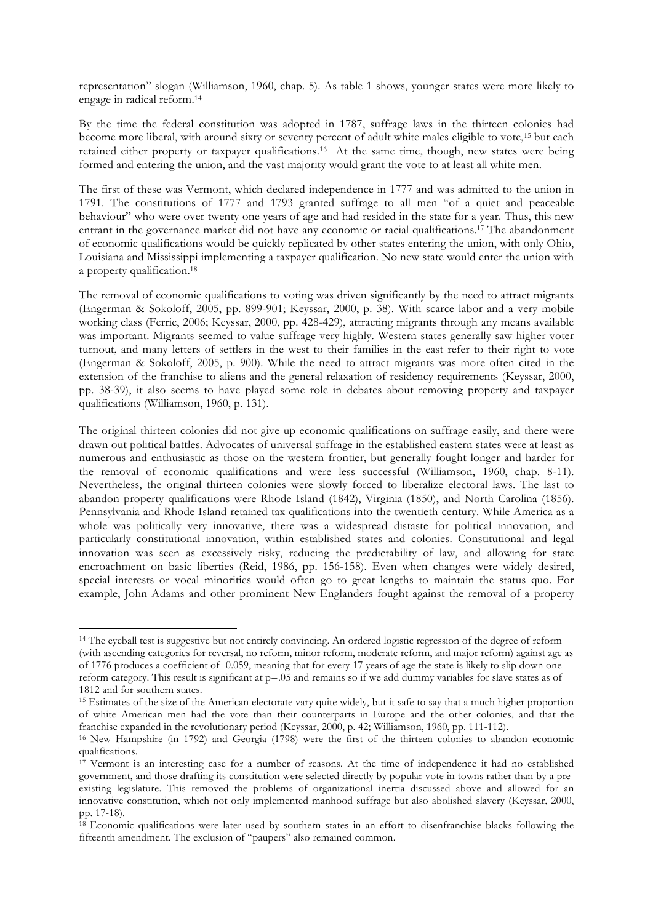representation" slogan (Williamson, 1960, chap. 5). As table 1 shows, younger states were more likely to engage in radical reform.14

By the time the federal constitution was adopted in 1787, suffrage laws in the thirteen colonies had become more liberal, with around sixty or seventy percent of adult white males eligible to vote,<sup>15</sup> but each retained either property or taxpayer qualifications.16 At the same time, though, new states were being formed and entering the union, and the vast majority would grant the vote to at least all white men.

The first of these was Vermont, which declared independence in 1777 and was admitted to the union in 1791. The constitutions of 1777 and 1793 granted suffrage to all men "of a quiet and peaceable behaviour" who were over twenty one years of age and had resided in the state for a year. Thus, this new entrant in the governance market did not have any economic or racial qualifications.17 The abandonment of economic qualifications would be quickly replicated by other states entering the union, with only Ohio, Louisiana and Mississippi implementing a taxpayer qualification. No new state would enter the union with a property qualification.18

The removal of economic qualifications to voting was driven significantly by the need to attract migrants (Engerman & Sokoloff, 2005, pp. 899-901; Keyssar, 2000, p. 38). With scarce labor and a very mobile working class (Ferrie, 2006; Keyssar, 2000, pp. 428-429), attracting migrants through any means available was important. Migrants seemed to value suffrage very highly. Western states generally saw higher voter turnout, and many letters of settlers in the west to their families in the east refer to their right to vote (Engerman & Sokoloff, 2005, p. 900). While the need to attract migrants was more often cited in the extension of the franchise to aliens and the general relaxation of residency requirements (Keyssar, 2000, pp. 38-39), it also seems to have played some role in debates about removing property and taxpayer qualifications (Williamson, 1960, p. 131).

The original thirteen colonies did not give up economic qualifications on suffrage easily, and there were drawn out political battles. Advocates of universal suffrage in the established eastern states were at least as numerous and enthusiastic as those on the western frontier, but generally fought longer and harder for the removal of economic qualifications and were less successful (Williamson, 1960, chap. 8-11). Nevertheless, the original thirteen colonies were slowly forced to liberalize electoral laws. The last to abandon property qualifications were Rhode Island (1842), Virginia (1850), and North Carolina (1856). Pennsylvania and Rhode Island retained tax qualifications into the twentieth century. While America as a whole was politically very innovative, there was a widespread distaste for political innovation, and particularly constitutional innovation, within established states and colonies. Constitutional and legal innovation was seen as excessively risky, reducing the predictability of law, and allowing for state encroachment on basic liberties (Reid, 1986, pp. 156-158). Even when changes were widely desired, special interests or vocal minorities would often go to great lengths to maintain the status quo. For example, John Adams and other prominent New Englanders fought against the removal of a property

<sup>&</sup>lt;sup>14</sup> The eyeball test is suggestive but not entirely convincing. An ordered logistic regression of the degree of reform (with ascending categories for reversal, no reform, minor reform, moderate reform, and major reform) against age as of 1776 produces a coefficient of -0.059, meaning that for every 17 years of age the state is likely to slip down one reform category. This result is significant at  $p=0.05$  and remains so if we add dummy variables for slave states as of 1812 and for southern states.

<sup>&</sup>lt;sup>15</sup> Estimates of the size of the American electorate vary quite widely, but it safe to say that a much higher proportion of white American men had the vote than their counterparts in Europe and the other colonies, and that the franchise expanded in the revolutionary period (Keyssar, 2000, p. 42; Williamson, 1960, pp. 111-112).

<sup>16</sup> New Hampshire (in 1792) and Georgia (1798) were the first of the thirteen colonies to abandon economic qualifications.

 $1^7$  Vermont is an interesting case for a number of reasons. At the time of independence it had no established government, and those drafting its constitution were selected directly by popular vote in towns rather than by a preexisting legislature. This removed the problems of organizational inertia discussed above and allowed for an innovative constitution, which not only implemented manhood suffrage but also abolished slavery (Keyssar, 2000, pp. 17-18).

<sup>&</sup>lt;sup>18</sup> Economic qualifications were later used by southern states in an effort to disenfranchise blacks following the fifteenth amendment. The exclusion of "paupers" also remained common.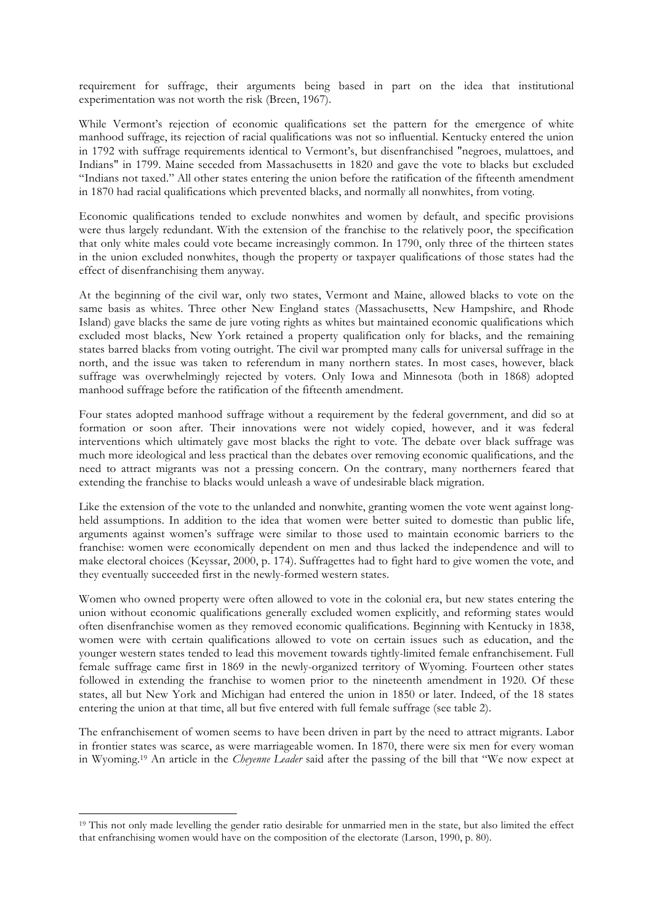requirement for suffrage, their arguments being based in part on the idea that institutional experimentation was not worth the risk (Breen, 1967).

While Vermont's rejection of economic qualifications set the pattern for the emergence of white manhood suffrage, its rejection of racial qualifications was not so influential. Kentucky entered the union in 1792 with suffrage requirements identical to Vermont's, but disenfranchised "negroes, mulattoes, and Indians" in 1799. Maine seceded from Massachusetts in 1820 and gave the vote to blacks but excluded "Indians not taxed." All other states entering the union before the ratification of the fifteenth amendment in 1870 had racial qualifications which prevented blacks, and normally all nonwhites, from voting.

Economic qualifications tended to exclude nonwhites and women by default, and specific provisions were thus largely redundant. With the extension of the franchise to the relatively poor, the specification that only white males could vote became increasingly common. In 1790, only three of the thirteen states in the union excluded nonwhites, though the property or taxpayer qualifications of those states had the effect of disenfranchising them anyway.

At the beginning of the civil war, only two states, Vermont and Maine, allowed blacks to vote on the same basis as whites. Three other New England states (Massachusetts, New Hampshire, and Rhode Island) gave blacks the same de jure voting rights as whites but maintained economic qualifications which excluded most blacks, New York retained a property qualification only for blacks, and the remaining states barred blacks from voting outright. The civil war prompted many calls for universal suffrage in the north, and the issue was taken to referendum in many northern states. In most cases, however, black suffrage was overwhelmingly rejected by voters. Only Iowa and Minnesota (both in 1868) adopted manhood suffrage before the ratification of the fifteenth amendment.

Four states adopted manhood suffrage without a requirement by the federal government, and did so at formation or soon after. Their innovations were not widely copied, however, and it was federal interventions which ultimately gave most blacks the right to vote. The debate over black suffrage was much more ideological and less practical than the debates over removing economic qualifications, and the need to attract migrants was not a pressing concern. On the contrary, many northerners feared that extending the franchise to blacks would unleash a wave of undesirable black migration.

Like the extension of the vote to the unlanded and nonwhite, granting women the vote went against longheld assumptions. In addition to the idea that women were better suited to domestic than public life, arguments against women's suffrage were similar to those used to maintain economic barriers to the franchise: women were economically dependent on men and thus lacked the independence and will to make electoral choices (Keyssar, 2000, p. 174). Suffragettes had to fight hard to give women the vote, and they eventually succeeded first in the newly-formed western states.

Women who owned property were often allowed to vote in the colonial era, but new states entering the union without economic qualifications generally excluded women explicitly, and reforming states would often disenfranchise women as they removed economic qualifications. Beginning with Kentucky in 1838, women were with certain qualifications allowed to vote on certain issues such as education, and the younger western states tended to lead this movement towards tightly-limited female enfranchisement. Full female suffrage came first in 1869 in the newly-organized territory of Wyoming. Fourteen other states followed in extending the franchise to women prior to the nineteenth amendment in 1920. Of these states, all but New York and Michigan had entered the union in 1850 or later. Indeed, of the 18 states entering the union at that time, all but five entered with full female suffrage (see table 2).

The enfranchisement of women seems to have been driven in part by the need to attract migrants. Labor in frontier states was scarce, as were marriageable women. In 1870, there were six men for every woman in Wyoming.19 An article in the *Cheyenne Leader* said after the passing of the bill that "We now expect at

<sup>&</sup>lt;sup>19</sup> This not only made levelling the gender ratio desirable for unmarried men in the state, but also limited the effect that enfranchising women would have on the composition of the electorate (Larson, 1990, p. 80).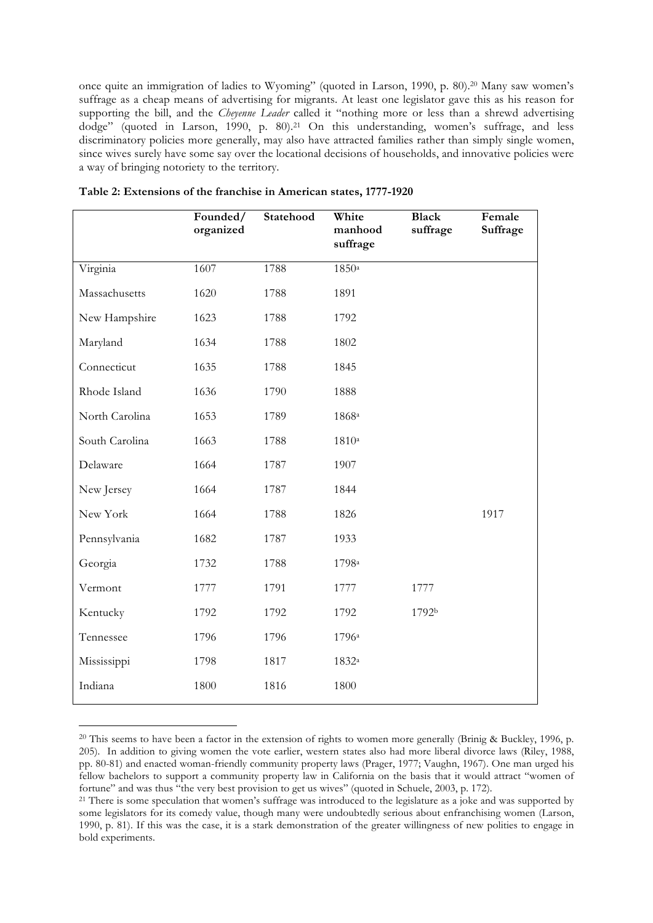once quite an immigration of ladies to Wyoming" (quoted in Larson, 1990, p. 80). 20 Many saw women's suffrage as a cheap means of advertising for migrants. At least one legislator gave this as his reason for supporting the bill, and the *Cheyenne Leader* called it "nothing more or less than a shrewd advertising dodge" (quoted in Larson, 1990, p. 80).<sup>21</sup> On this understanding, women's suffrage, and less discriminatory policies more generally, may also have attracted families rather than simply single women, since wives surely have some say over the locational decisions of households, and innovative policies were a way of bringing notoriety to the territory.

|                | Founded/<br>organized | Statehood | White<br>manhood<br>suffrage | <b>Black</b><br>suffrage | Female<br>Suffrage |
|----------------|-----------------------|-----------|------------------------------|--------------------------|--------------------|
| Virginia       | 1607                  | 1788      | 1850a                        |                          |                    |
| Massachusetts  | 1620                  | 1788      | 1891                         |                          |                    |
| New Hampshire  | 1623                  | 1788      | 1792                         |                          |                    |
| Maryland       | 1634                  | 1788      | 1802                         |                          |                    |
| Connecticut    | 1635                  | 1788      | 1845                         |                          |                    |
| Rhode Island   | 1636                  | 1790      | 1888                         |                          |                    |
| North Carolina | 1653                  | 1789      | 1868a                        |                          |                    |
| South Carolina | 1663                  | 1788      | 1810a                        |                          |                    |
| Delaware       | 1664                  | 1787      | 1907                         |                          |                    |
| New Jersey     | 1664                  | 1787      | 1844                         |                          |                    |
| New York       | 1664                  | 1788      | 1826                         |                          | 1917               |
| Pennsylvania   | 1682                  | 1787      | 1933                         |                          |                    |
| Georgia        | 1732                  | 1788      | 1798 <sup>a</sup>            |                          |                    |
| Vermont        | 1777                  | 1791      | 1777                         | 1777                     |                    |
| Kentucky       | 1792                  | 1792      | 1792                         | 1792b                    |                    |
| Tennessee      | 1796                  | 1796      | 1796 <sup>a</sup>            |                          |                    |
| Mississippi    | 1798                  | 1817      | 1832 <sup>a</sup>            |                          |                    |
| Indiana        | 1800                  | 1816      | 1800                         |                          |                    |
|                |                       |           |                              |                          |                    |

| Table 2: Extensions of the franchise in American states, 1777-1920 |  |  |  |
|--------------------------------------------------------------------|--|--|--|
|--------------------------------------------------------------------|--|--|--|

<sup>&</sup>lt;sup>20</sup> This seems to have been a factor in the extension of rights to women more generally (Brinig & Buckley, 1996, p. 205). In addition to giving women the vote earlier, western states also had more liberal divorce laws (Riley, 1988, pp. 80-81) and enacted woman-friendly community property laws (Prager, 1977; Vaughn, 1967). One man urged his fellow bachelors to support a community property law in California on the basis that it would attract "women of fortune" and was thus "the very best provision to get us wives" (quoted in Schuele, 2003, p. 172).

<sup>&</sup>lt;sup>21</sup> There is some speculation that women's suffrage was introduced to the legislature as a joke and was supported by some legislators for its comedy value, though many were undoubtedly serious about enfranchising women (Larson, 1990, p. 81). If this was the case, it is a stark demonstration of the greater willingness of new polities to engage in bold experiments.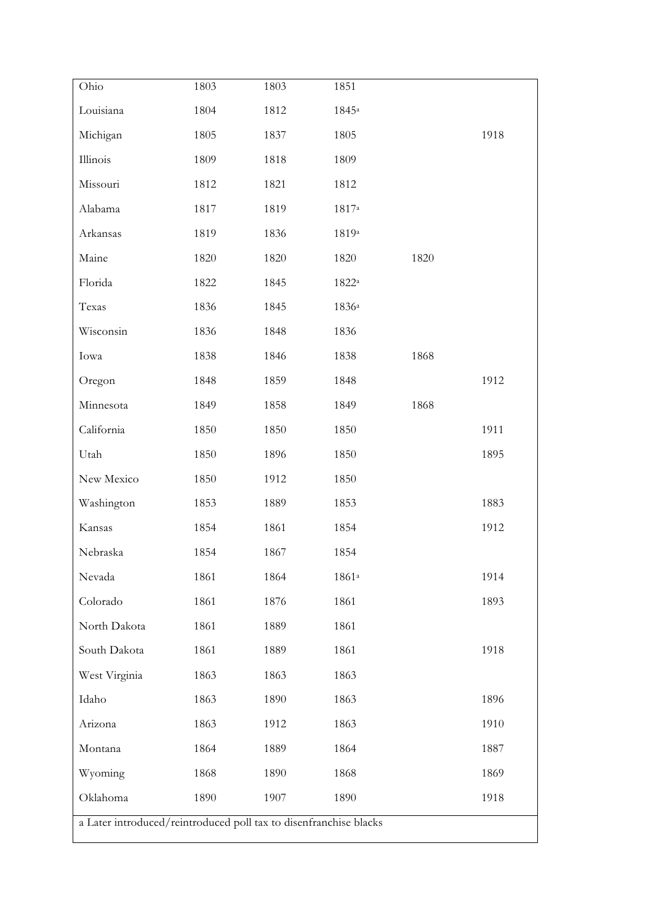| Ohio                                                              | 1803 | 1803 | 1851           |      |      |  |  |
|-------------------------------------------------------------------|------|------|----------------|------|------|--|--|
| Louisiana                                                         | 1804 | 1812 | $1845^{\rm a}$ |      |      |  |  |
| Michigan                                                          | 1805 | 1837 | 1805           |      | 1918 |  |  |
| Illinois                                                          | 1809 | 1818 | 1809           |      |      |  |  |
| Missouri                                                          | 1812 | 1821 | 1812           |      |      |  |  |
| Alabama                                                           | 1817 | 1819 | $1817^{\rm a}$ |      |      |  |  |
| Arkansas                                                          | 1819 | 1836 | 1819a          |      |      |  |  |
| Maine                                                             | 1820 | 1820 | 1820           | 1820 |      |  |  |
| Florida                                                           | 1822 | 1845 | 1822a          |      |      |  |  |
| Texas                                                             | 1836 | 1845 | $1836^{\rm a}$ |      |      |  |  |
| Wisconsin                                                         | 1836 | 1848 | 1836           |      |      |  |  |
| Iowa                                                              | 1838 | 1846 | 1838           | 1868 |      |  |  |
| Oregon                                                            | 1848 | 1859 | 1848           |      | 1912 |  |  |
| Minnesota                                                         | 1849 | 1858 | 1849           | 1868 |      |  |  |
| California                                                        | 1850 | 1850 | 1850           |      | 1911 |  |  |
| Utah                                                              | 1850 | 1896 | 1850           |      | 1895 |  |  |
| New Mexico                                                        | 1850 | 1912 | 1850           |      |      |  |  |
| Washington                                                        | 1853 | 1889 | 1853           |      | 1883 |  |  |
| Kansas                                                            | 1854 | 1861 | 1854           |      | 1912 |  |  |
| Nebraska                                                          | 1854 | 1867 | 1854           |      |      |  |  |
| Nevada                                                            | 1861 | 1864 | $1861^{\rm a}$ |      | 1914 |  |  |
| Colorado                                                          | 1861 | 1876 | 1861           |      | 1893 |  |  |
| North Dakota                                                      | 1861 | 1889 | 1861           |      |      |  |  |
| South Dakota                                                      | 1861 | 1889 | 1861           |      | 1918 |  |  |
| West Virginia                                                     | 1863 | 1863 | 1863           |      |      |  |  |
| Idaho                                                             | 1863 | 1890 | 1863           |      | 1896 |  |  |
| Arizona                                                           | 1863 | 1912 | 1863           |      | 1910 |  |  |
| Montana                                                           | 1864 | 1889 | 1864           |      | 1887 |  |  |
| Wyoming                                                           | 1868 | 1890 | 1868           |      | 1869 |  |  |
| Oklahoma                                                          | 1890 | 1907 | 1890           |      | 1918 |  |  |
| a Later introduced/reintroduced poll tax to disenfranchise blacks |      |      |                |      |      |  |  |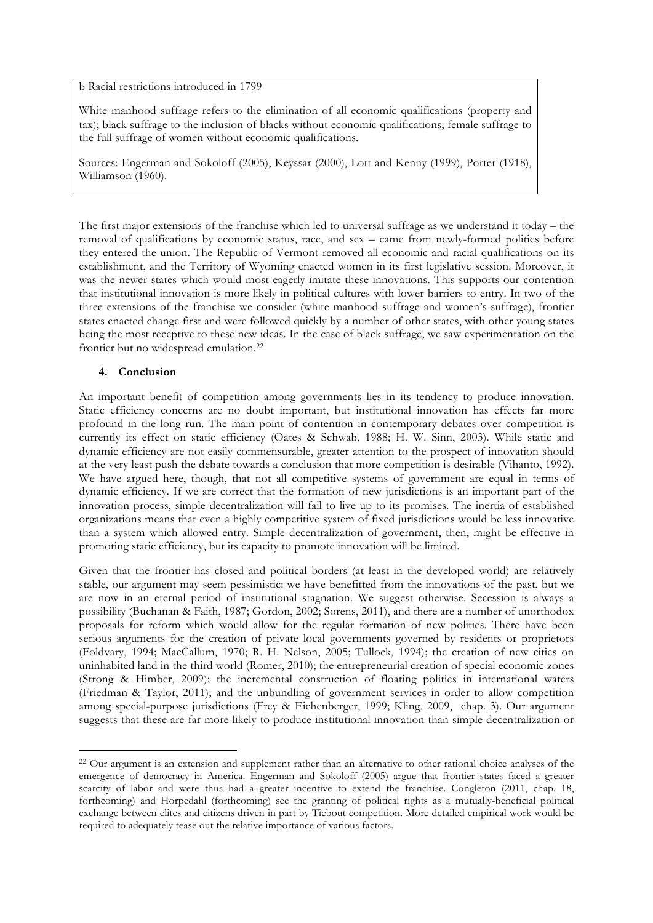b Racial restrictions introduced in 1799

White manhood suffrage refers to the elimination of all economic qualifications (property and tax); black suffrage to the inclusion of blacks without economic qualifications; female suffrage to the full suffrage of women without economic qualifications.

Sources: Engerman and Sokoloff (2005), Keyssar (2000), Lott and Kenny (1999), Porter (1918), Williamson (1960).

The first major extensions of the franchise which led to universal suffrage as we understand it today – the removal of qualifications by economic status, race, and sex – came from newly-formed polities before they entered the union. The Republic of Vermont removed all economic and racial qualifications on its establishment, and the Territory of Wyoming enacted women in its first legislative session. Moreover, it was the newer states which would most eagerly imitate these innovations. This supports our contention that institutional innovation is more likely in political cultures with lower barriers to entry. In two of the three extensions of the franchise we consider (white manhood suffrage and women's suffrage), frontier states enacted change first and were followed quickly by a number of other states, with other young states being the most receptive to these new ideas. In the case of black suffrage, we saw experimentation on the frontier but no widespread emulation.22

#### **4. Conclusion**

!!!!!!!!!!!!!!!!!!!!!!!!!!!!!!!!!!!!!!!!!!!!!!!!!!!!!!!!!!!!

An important benefit of competition among governments lies in its tendency to produce innovation. Static efficiency concerns are no doubt important, but institutional innovation has effects far more profound in the long run. The main point of contention in contemporary debates over competition is currently its effect on static efficiency (Oates & Schwab, 1988; H. W. Sinn, 2003). While static and dynamic efficiency are not easily commensurable, greater attention to the prospect of innovation should at the very least push the debate towards a conclusion that more competition is desirable (Vihanto, 1992). We have argued here, though, that not all competitive systems of government are equal in terms of dynamic efficiency. If we are correct that the formation of new jurisdictions is an important part of the innovation process, simple decentralization will fail to live up to its promises. The inertia of established organizations means that even a highly competitive system of fixed jurisdictions would be less innovative than a system which allowed entry. Simple decentralization of government, then, might be effective in promoting static efficiency, but its capacity to promote innovation will be limited.

Given that the frontier has closed and political borders (at least in the developed world) are relatively stable, our argument may seem pessimistic: we have benefitted from the innovations of the past, but we are now in an eternal period of institutional stagnation. We suggest otherwise. Secession is always a possibility (Buchanan & Faith, 1987; Gordon, 2002; Sorens, 2011), and there are a number of unorthodox proposals for reform which would allow for the regular formation of new polities. There have been serious arguments for the creation of private local governments governed by residents or proprietors (Foldvary, 1994; MacCallum, 1970; R. H. Nelson, 2005; Tullock, 1994); the creation of new cities on uninhabited land in the third world (Romer, 2010); the entrepreneurial creation of special economic zones (Strong & Himber, 2009); the incremental construction of floating polities in international waters (Friedman & Taylor, 2011); and the unbundling of government services in order to allow competition among special-purpose jurisdictions (Frey & Eichenberger, 1999; Kling, 2009, chap. 3). Our argument suggests that these are far more likely to produce institutional innovation than simple decentralization or

<sup>&</sup>lt;sup>22</sup> Our argument is an extension and supplement rather than an alternative to other rational choice analyses of the emergence of democracy in America. Engerman and Sokoloff (2005) argue that frontier states faced a greater scarcity of labor and were thus had a greater incentive to extend the franchise. Congleton (2011, chap. 18, forthcoming) and Horpedahl (forthcoming) see the granting of political rights as a mutually-beneficial political exchange between elites and citizens driven in part by Tiebout competition. More detailed empirical work would be required to adequately tease out the relative importance of various factors.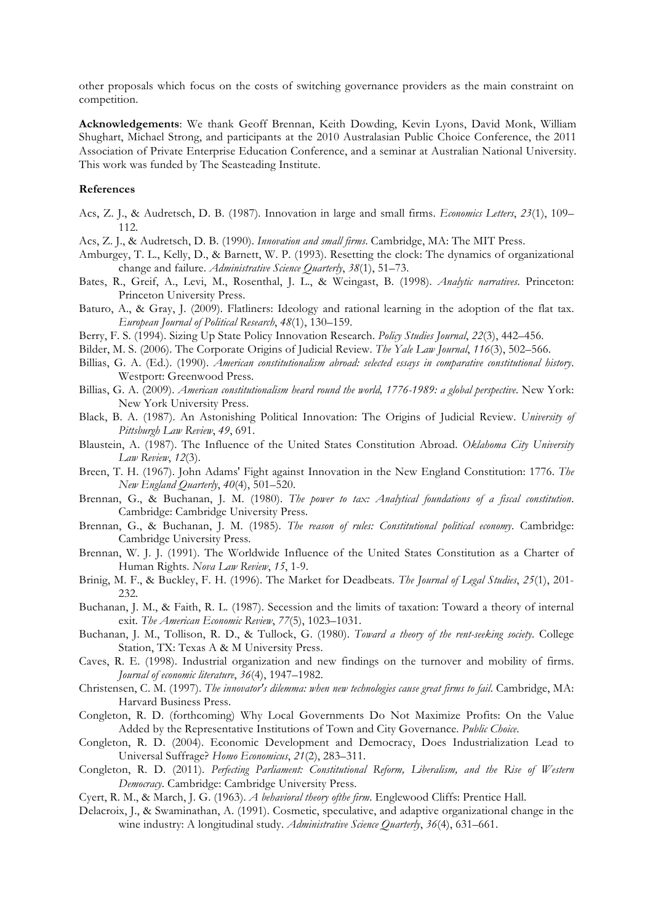other proposals which focus on the costs of switching governance providers as the main constraint on competition.

**Acknowledgements**: We thank Geoff Brennan, Keith Dowding, Kevin Lyons, David Monk, William Shughart, Michael Strong, and participants at the 2010 Australasian Public Choice Conference, the 2011 Association of Private Enterprise Education Conference, and a seminar at Australian National University. This work was funded by The Seasteading Institute.

#### **References**

- Acs, Z. J., & Audretsch, D. B. (1987). Innovation in large and small firms. *Economics Letters*, *23*(1), 109– 112.
- Acs, Z. J., & Audretsch, D. B. (1990). *Innovation and small firms*. Cambridge, MA: The MIT Press.
- Amburgey, T. L., Kelly, D., & Barnett, W. P. (1993). Resetting the clock: The dynamics of organizational change and failure. *Administrative Science Quarterly*, *38*(1), 51–73.
- Bates, R., Greif, A., Levi, M., Rosenthal, J. L., & Weingast, B. (1998). *Analytic narratives*. Princeton: Princeton University Press.
- Baturo, A., & Gray, J. (2009). Flatliners: Ideology and rational learning in the adoption of the flat tax. *European Journal of Political Research*, *48*(1), 130–159.
- Berry, F. S. (1994). Sizing Up State Policy Innovation Research. *Policy Studies Journal*, *22*(3), 442–456.
- Bilder, M. S. (2006). The Corporate Origins of Judicial Review. *The Yale Law Journal*, *116*(3), 502–566.
- Billias, G. A. (Ed.). (1990). *American constitutionalism abroad: selected essays in comparative constitutional history*. Westport: Greenwood Press.
- Billias, G. A. (2009). *American constitutionalism heard round the world, 1776-1989: a global perspective*. New York: New York University Press.
- Black, B. A. (1987). An Astonishing Political Innovation: The Origins of Judicial Review. *University of Pittsburgh Law Review*, *49*, 691.
- Blaustein, A. (1987). The Influence of the United States Constitution Abroad. *Oklahoma City University Law Review*, *12*(3).
- Breen, T. H. (1967). John Adams' Fight against Innovation in the New England Constitution: 1776. *The New England Quarterly*, *40*(4), 501–520.
- Brennan, G., & Buchanan, J. M. (1980). *The power to tax: Analytical foundations of a fiscal constitution*. Cambridge: Cambridge University Press.
- Brennan, G., & Buchanan, J. M. (1985). *The reason of rules: Constitutional political economy*. Cambridge: Cambridge University Press.
- Brennan, W. J. J. (1991). The Worldwide Influence of the United States Constitution as a Charter of Human Rights. *Nova Law Review*, *15*, 1-9.
- Brinig, M. F., & Buckley, F. H. (1996). The Market for Deadbeats. *The Journal of Legal Studies*, *25*(1), 201- 232.
- Buchanan, J. M., & Faith, R. L. (1987). Secession and the limits of taxation: Toward a theory of internal exit. *The American Economic Review*, *77*(5), 1023–1031.
- Buchanan, J. M., Tollison, R. D., & Tullock, G. (1980). *Toward a theory of the rent-seeking society*. College Station, TX: Texas A & M University Press.
- Caves, R. E. (1998). Industrial organization and new findings on the turnover and mobility of firms. *Journal of economic literature*, *36*(4), 1947–1982.
- Christensen, C. M. (1997). *The innovator's dilemma: when new technologies cause great firms to fail*. Cambridge, MA: Harvard Business Press.
- Congleton, R. D. (forthcoming) Why Local Governments Do Not Maximize Profits: On the Value Added by the Representative Institutions of Town and City Governance. *Public Choice*.
- Congleton, R. D. (2004). Economic Development and Democracy, Does Industrialization Lead to Universal Suffrage? *Homo Economicus*, *21*(2), 283–311.
- Congleton, R. D. (2011). *Perfecting Parliament: Constitutional Reform, Liberalism, and the Rise of Western Democracy*. Cambridge: Cambridge University Press.
- Cyert, R. M., & March, J. G. (1963). *A behavioral theory ofthe firm*. Englewood Cliffs: Prentice Hall.
- Delacroix, J., & Swaminathan, A. (1991). Cosmetic, speculative, and adaptive organizational change in the wine industry: A longitudinal study. *Administrative Science Quarterly*, *36*(4), 631–661.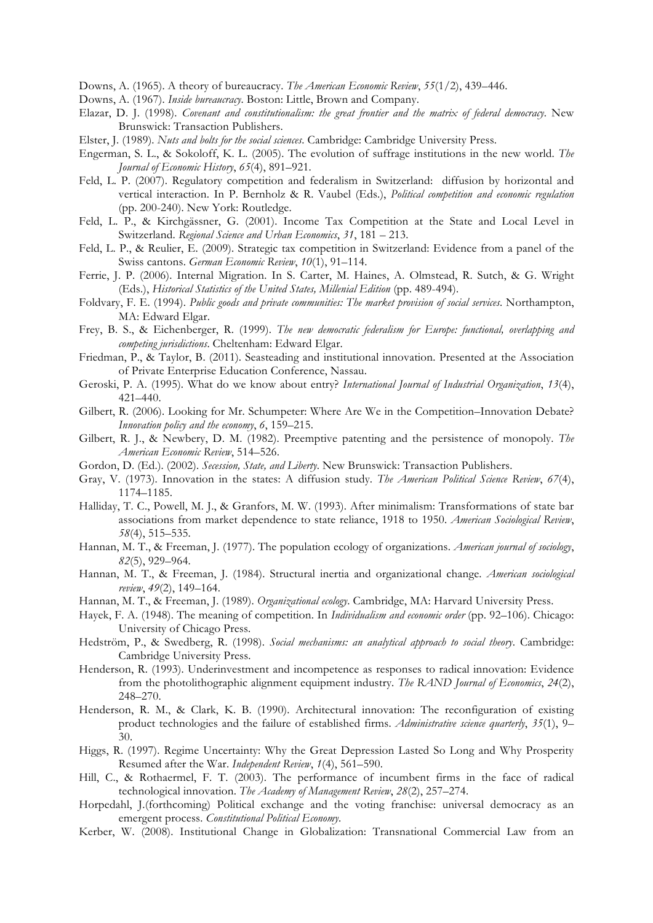Downs, A. (1965). A theory of bureaucracy. *The American Economic Review*, *55*(1/2), 439–446.

- Downs, A. (1967). *Inside bureaucracy*. Boston: Little, Brown and Company.
- Elazar, D. J. (1998). *Covenant and constitutionalism: the great frontier and the matrix of federal democracy*. New Brunswick: Transaction Publishers.
- Elster, J. (1989). *Nuts and bolts for the social sciences*. Cambridge: Cambridge University Press.
- Engerman, S. L., & Sokoloff, K. L. (2005). The evolution of suffrage institutions in the new world. *The Journal of Economic History*, *65*(4), 891–921.
- Feld, L. P. (2007). Regulatory competition and federalism in Switzerland: diffusion by horizontal and vertical interaction. In P. Bernholz & R. Vaubel (Eds.), *Political competition and economic regulation* (pp. 200-240). New York: Routledge.
- Feld, L. P., & Kirchgässner, G. (2001). Income Tax Competition at the State and Local Level in Switzerland. *Regional Science and Urban Economics*, *31*, 181 – 213.
- Feld, L. P., & Reulier, E. (2009). Strategic tax competition in Switzerland: Evidence from a panel of the Swiss cantons. *German Economic Review*, *10*(1), 91–114.
- Ferrie, J. P. (2006). Internal Migration. In S. Carter, M. Haines, A. Olmstead, R. Sutch, & G. Wright (Eds.), *Historical Statistics of the United States, Millenial Edition* (pp. 489-494).
- Foldvary, F. E. (1994). *Public goods and private communities: The market provision of social services*. Northampton, MA: Edward Elgar.
- Frey, B. S., & Eichenberger, R. (1999). *The new democratic federalism for Europe: functional, overlapping and competing jurisdictions*. Cheltenham: Edward Elgar.
- Friedman, P., & Taylor, B. (2011). Seasteading and institutional innovation. Presented at the Association of Private Enterprise Education Conference, Nassau.
- Geroski, P. A. (1995). What do we know about entry? *International Journal of Industrial Organization*, *13*(4), 421–440.
- Gilbert, R. (2006). Looking for Mr. Schumpeter: Where Are We in the Competition–Innovation Debate? *Innovation policy and the economy*, *6*, 159–215.
- Gilbert, R. J., & Newbery, D. M. (1982). Preemptive patenting and the persistence of monopoly. *The American Economic Review*, 514–526.
- Gordon, D. (Ed.). (2002). *Secession, State, and Liberty*. New Brunswick: Transaction Publishers.
- Gray, V. (1973). Innovation in the states: A diffusion study. *The American Political Science Review*, *67*(4), 1174–1185.
- Halliday, T. C., Powell, M. J., & Granfors, M. W. (1993). After minimalism: Transformations of state bar associations from market dependence to state reliance, 1918 to 1950. *American Sociological Review*, *58*(4), 515–535.
- Hannan, M. T., & Freeman, J. (1977). The population ecology of organizations. *American journal of sociology*, *82*(5), 929–964.
- Hannan, M. T., & Freeman, J. (1984). Structural inertia and organizational change. *American sociological review*, *49*(2), 149–164.
- Hannan, M. T., & Freeman, J. (1989). *Organizational ecology*. Cambridge, MA: Harvard University Press.
- Hayek, F. A. (1948). The meaning of competition. In *Individualism and economic order* (pp. 92–106). Chicago: University of Chicago Press.
- Hedström, P., & Swedberg, R. (1998). *Social mechanisms: an analytical approach to social theory*. Cambridge: Cambridge University Press.
- Henderson, R. (1993). Underinvestment and incompetence as responses to radical innovation: Evidence from the photolithographic alignment equipment industry. *The RAND Journal of Economics*, *24*(2), 248–270.
- Henderson, R. M., & Clark, K. B. (1990). Architectural innovation: The reconfiguration of existing product technologies and the failure of established firms. *Administrative science quarterly*, *35*(1), 9– 30.
- Higgs, R. (1997). Regime Uncertainty: Why the Great Depression Lasted So Long and Why Prosperity Resumed after the War. *Independent Review*, *1*(4), 561–590.
- Hill, C., & Rothaermel, F. T. (2003). The performance of incumbent firms in the face of radical technological innovation. *The Academy of Management Review*, *28*(2), 257–274.
- Horpedahl, J.(forthcoming) Political exchange and the voting franchise: universal democracy as an emergent process. *Constitutional Political Economy*.
- Kerber, W. (2008). Institutional Change in Globalization: Transnational Commercial Law from an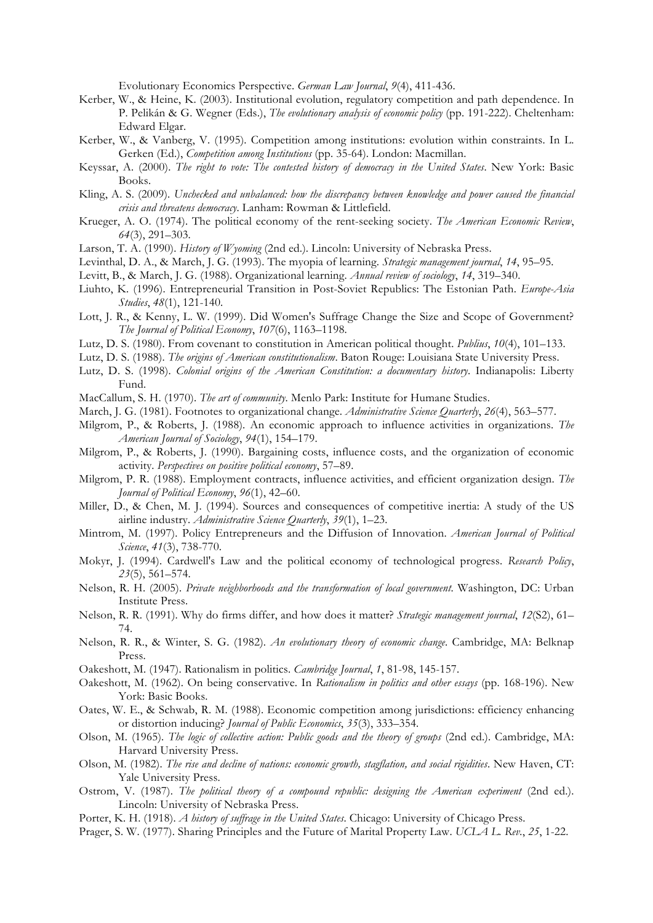Evolutionary Economics Perspective. *German Law Journal*, *9*(4), 411-436.

- Kerber, W., & Heine, K. (2003). Institutional evolution, regulatory competition and path dependence. In P. Pelikán & G. Wegner (Eds.), *The evolutionary analysis of economic policy* (pp. 191-222). Cheltenham: Edward Elgar.
- Kerber, W., & Vanberg, V. (1995). Competition among institutions: evolution within constraints. In L. Gerken (Ed.), *Competition among Institutions* (pp. 35-64). London: Macmillan.
- Keyssar, A. (2000). *The right to vote: The contested history of democracy in the United States*. New York: Basic Books.
- Kling, A. S. (2009). *Unchecked and unbalanced: how the discrepancy between knowledge and power caused the financial crisis and threatens democracy*. Lanham: Rowman & Littlefield.
- Krueger, A. O. (1974). The political economy of the rent-seeking society. *The American Economic Review*, *64*(3), 291–303.
- Larson, T. A. (1990). *History of Wyoming* (2nd ed.). Lincoln: University of Nebraska Press.
- Levinthal, D. A., & March, J. G. (1993). The myopia of learning. *Strategic management journal*, *14*, 95–95.
- Levitt, B., & March, J. G. (1988). Organizational learning. *Annual review of sociology*, *14*, 319–340.
- Liuhto, K. (1996). Entrepreneurial Transition in Post-Soviet Republics: The Estonian Path. *Europe-Asia Studies*, *48*(1), 121-140.
- Lott, J. R., & Kenny, L. W. (1999). Did Women's Suffrage Change the Size and Scope of Government? *The Journal of Political Economy*, *107*(6), 1163–1198.
- Lutz, D. S. (1980). From covenant to constitution in American political thought. *Publius*, *10*(4), 101–133.
- Lutz, D. S. (1988). *The origins of American constitutionalism*. Baton Rouge: Louisiana State University Press.
- Lutz, D. S. (1998). *Colonial origins of the American Constitution: a documentary history*. Indianapolis: Liberty Fund.
- MacCallum, S. H. (1970). *The art of community*. Menlo Park: Institute for Humane Studies.
- March, J. G. (1981). Footnotes to organizational change. *Administrative Science Quarterly*, *26*(4), 563–577.
- Milgrom, P., & Roberts, J. (1988). An economic approach to influence activities in organizations. *The American Journal of Sociology*, *94*(1), 154–179.
- Milgrom, P., & Roberts, J. (1990). Bargaining costs, influence costs, and the organization of economic activity. *Perspectives on positive political economy*, 57–89.
- Milgrom, P. R. (1988). Employment contracts, influence activities, and efficient organization design. *The Journal of Political Economy*, *96*(1), 42–60.
- Miller, D., & Chen, M. J. (1994). Sources and consequences of competitive inertia: A study of the US airline industry. *Administrative Science Quarterly*, *39*(1), 1–23.
- Mintrom, M. (1997). Policy Entrepreneurs and the Diffusion of Innovation. *American Journal of Political Science*, *41*(3), 738-770.
- Mokyr, J. (1994). Cardwell's Law and the political economy of technological progress. *Research Policy*, *23*(5), 561–574.
- Nelson, R. H. (2005). *Private neighborhoods and the transformation of local government*. Washington, DC: Urban Institute Press.
- Nelson, R. R. (1991). Why do firms differ, and how does it matter? *Strategic management journal*, *12*(S2), 61– 74.
- Nelson, R. R., & Winter, S. G. (1982). *An evolutionary theory of economic change*. Cambridge, MA: Belknap Press.
- Oakeshott, M. (1947). Rationalism in politics. *Cambridge Journal*, *1*, 81-98, 145-157.
- Oakeshott, M. (1962). On being conservative. In *Rationalism in politics and other essays* (pp. 168-196). New York: Basic Books.
- Oates, W. E., & Schwab, R. M. (1988). Economic competition among jurisdictions: efficiency enhancing or distortion inducing? *Journal of Public Economics*, *35*(3), 333–354.
- Olson, M. (1965). *The logic of collective action: Public goods and the theory of groups* (2nd ed.). Cambridge, MA: Harvard University Press.
- Olson, M. (1982). *The rise and decline of nations: economic growth, stagflation, and social rigidities*. New Haven, CT: Yale University Press.
- Ostrom, V. (1987). *The political theory of a compound republic: designing the American experiment* (2nd ed.). Lincoln: University of Nebraska Press.
- Porter, K. H. (1918). *A history of suffrage in the United States*. Chicago: University of Chicago Press.
- Prager, S. W. (1977). Sharing Principles and the Future of Marital Property Law. *UCLA L. Rev.*, *25*, 1-22.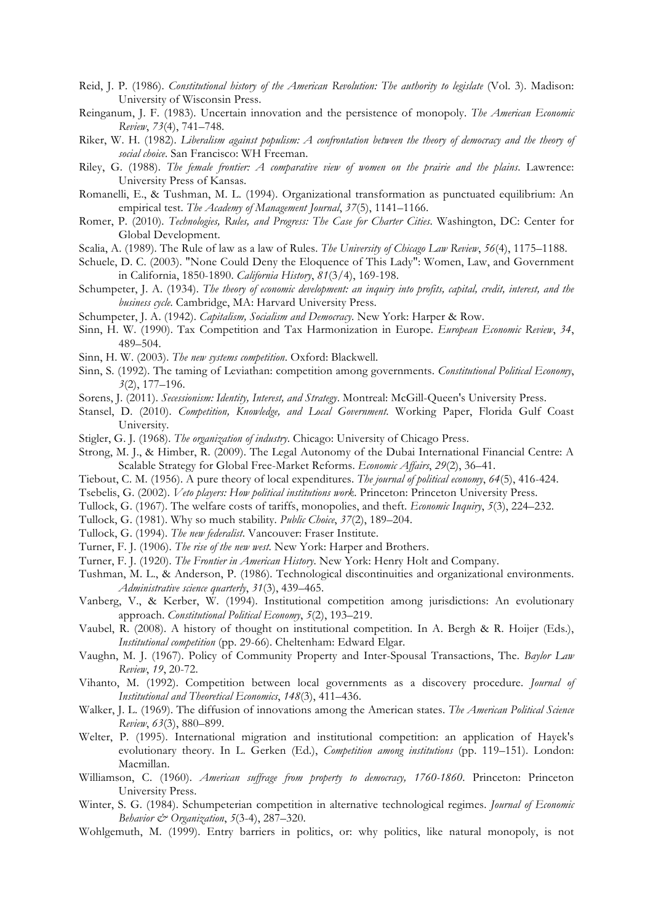- Reid, J. P. (1986). *Constitutional history of the American Revolution: The authority to legislate* (Vol. 3). Madison: University of Wisconsin Press.
- Reinganum, J. F. (1983). Uncertain innovation and the persistence of monopoly. *The American Economic Review*, *73*(4), 741–748.
- Riker, W. H. (1982). *Liberalism against populism: A confrontation between the theory of democracy and the theory of social choice*. San Francisco: WH Freeman.
- Riley, G. (1988). *The female frontier: A comparative view of women on the prairie and the plains*. Lawrence: University Press of Kansas.
- Romanelli, E., & Tushman, M. L. (1994). Organizational transformation as punctuated equilibrium: An empirical test. *The Academy of Management Journal*, *37*(5), 1141–1166.
- Romer, P. (2010). *Technologies, Rules, and Progress: The Case for Charter Cities*. Washington, DC: Center for Global Development.
- Scalia, A. (1989). The Rule of law as a law of Rules. *The University of Chicago Law Review*, *56*(4), 1175–1188.
- Schuele, D. C. (2003). "None Could Deny the Eloquence of This Lady": Women, Law, and Government in California, 1850-1890. *California History*, *81*(3/4), 169-198.
- Schumpeter, J. A. (1934). *The theory of economic development: an inquiry into profits, capital, credit, interest, and the business cycle*. Cambridge, MA: Harvard University Press.
- Schumpeter, J. A. (1942). *Capitalism, Socialism and Democracy*. New York: Harper & Row.
- Sinn, H. W. (1990). Tax Competition and Tax Harmonization in Europe. *European Economic Review*, *34*, 489–504.
- Sinn, H. W. (2003). *The new systems competition*. Oxford: Blackwell.
- Sinn, S. (1992). The taming of Leviathan: competition among governments. *Constitutional Political Economy*, *3*(2), 177–196.
- Sorens, J. (2011). *Secessionism: Identity, Interest, and Strategy*. Montreal: McGill-Queen's University Press.
- Stansel, D. (2010). *Competition, Knowledge, and Local Government*. Working Paper, Florida Gulf Coast University.
- Stigler, G. J. (1968). *The organization of industry*. Chicago: University of Chicago Press.
- Strong, M. J., & Himber, R. (2009). The Legal Autonomy of the Dubai International Financial Centre: A Scalable Strategy for Global Free-Market Reforms. *Economic Affairs*, *29*(2), 36–41.
- Tiebout, C. M. (1956). A pure theory of local expenditures. *The journal of political economy*, *64*(5), 416-424.
- Tsebelis, G. (2002). *Veto players: How political institutions work*. Princeton: Princeton University Press.
- Tullock, G. (1967). The welfare costs of tariffs, monopolies, and theft. *Economic Inquiry*, *5*(3), 224–232.
- Tullock, G. (1981). Why so much stability. *Public Choice*, *37*(2), 189–204.
- Tullock, G. (1994). *The new federalist*. Vancouver: Fraser Institute.
- Turner, F. J. (1906). *The rise of the new west*. New York: Harper and Brothers.
- Turner, F. J. (1920). *The Frontier in American History*. New York: Henry Holt and Company.
- Tushman, M. L., & Anderson, P. (1986). Technological discontinuities and organizational environments. *Administrative science quarterly*, *31*(3), 439–465.
- Vanberg, V., & Kerber, W. (1994). Institutional competition among jurisdictions: An evolutionary approach. *Constitutional Political Economy*, *5*(2), 193–219.
- Vaubel, R. (2008). A history of thought on institutional competition. In A. Bergh & R. Hoijer (Eds.), *Institutional competition* (pp. 29-66). Cheltenham: Edward Elgar.
- Vaughn, M. J. (1967). Policy of Community Property and Inter-Spousal Transactions, The. *Baylor Law Review*, *19*, 20-72.
- Vihanto, M. (1992). Competition between local governments as a discovery procedure. *Journal of Institutional and Theoretical Economics*, *148*(3), 411–436.
- Walker, J. L. (1969). The diffusion of innovations among the American states. *The American Political Science Review*, *63*(3), 880–899.
- Welter, P. (1995). International migration and institutional competition: an application of Hayek's evolutionary theory. In L. Gerken (Ed.), *Competition among institutions* (pp. 119–151). London: Macmillan.
- Williamson, C. (1960). *American suffrage from property to democracy, 1760-1860*. Princeton: Princeton University Press.
- Winter, S. G. (1984). Schumpeterian competition in alternative technological regimes. *Journal of Economic Behavior & Organization*, *5*(3-4), 287–320.
- Wohlgemuth, M. (1999). Entry barriers in politics, or: why politics, like natural monopoly, is not